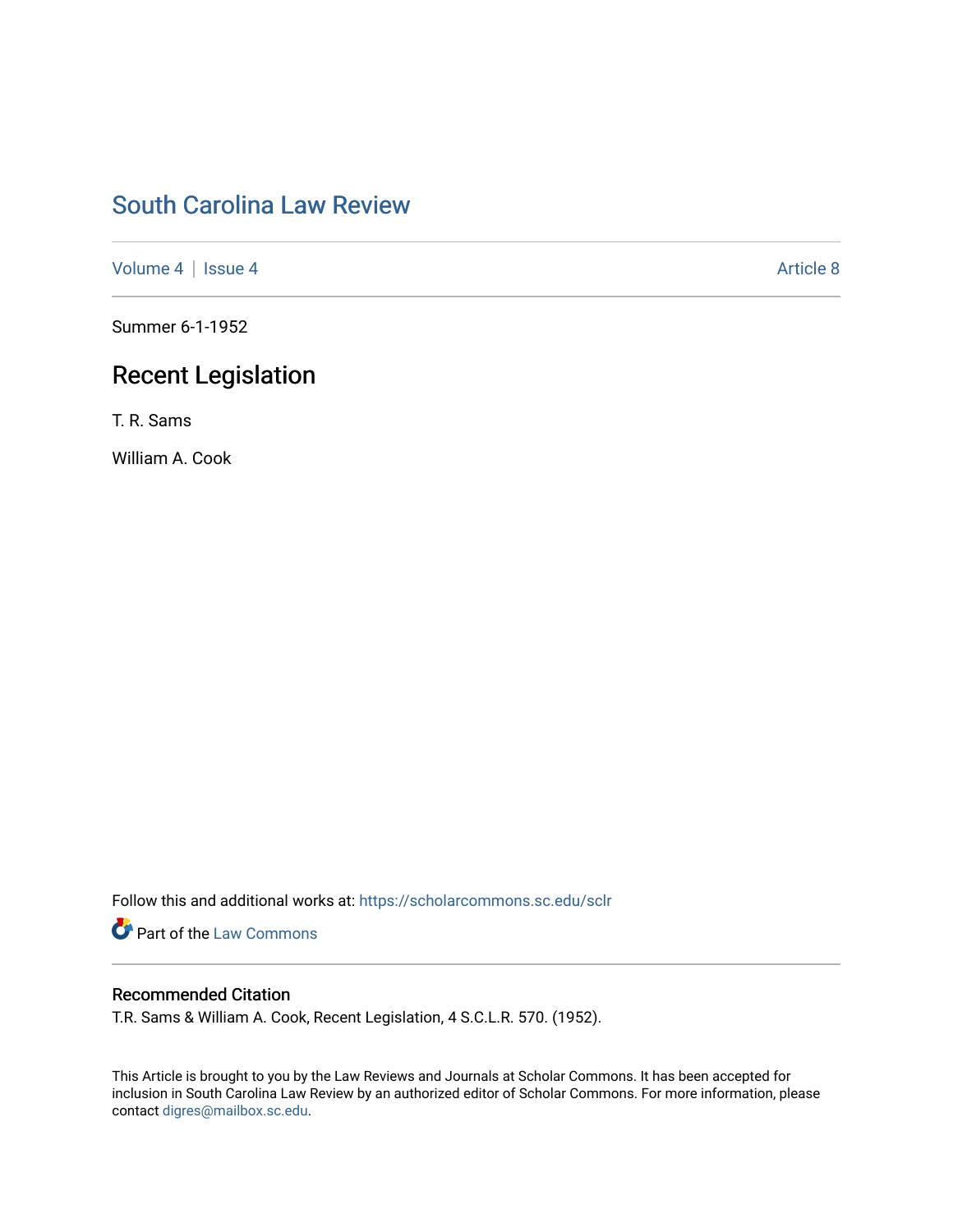# [South Carolina Law Review](https://scholarcommons.sc.edu/sclr)

[Volume 4](https://scholarcommons.sc.edu/sclr/vol4) | [Issue 4](https://scholarcommons.sc.edu/sclr/vol4/iss4) Article 8

Summer 6-1-1952

# Recent Legislation

T. R. Sams

William A. Cook

Follow this and additional works at: [https://scholarcommons.sc.edu/sclr](https://scholarcommons.sc.edu/sclr?utm_source=scholarcommons.sc.edu%2Fsclr%2Fvol4%2Fiss4%2F8&utm_medium=PDF&utm_campaign=PDFCoverPages)

**Part of the [Law Commons](http://network.bepress.com/hgg/discipline/578?utm_source=scholarcommons.sc.edu%2Fsclr%2Fvol4%2Fiss4%2F8&utm_medium=PDF&utm_campaign=PDFCoverPages)** 

## Recommended Citation

T.R. Sams & William A. Cook, Recent Legislation, 4 S.C.L.R. 570. (1952).

This Article is brought to you by the Law Reviews and Journals at Scholar Commons. It has been accepted for inclusion in South Carolina Law Review by an authorized editor of Scholar Commons. For more information, please contact [digres@mailbox.sc.edu.](mailto:digres@mailbox.sc.edu)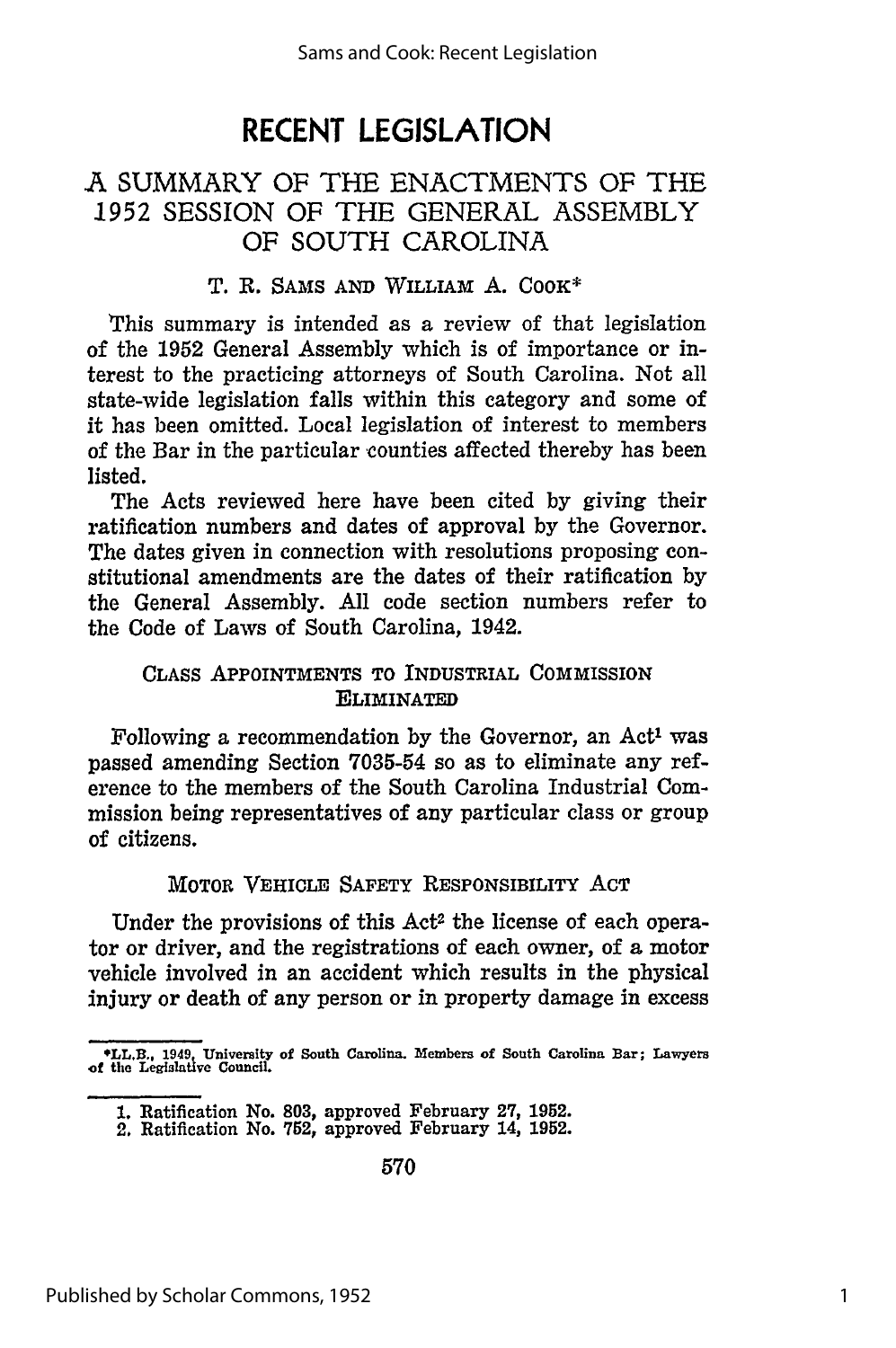# **RECENT LEGISLATION**

## **A** SUMMARY OF THE ENACTMENTS OF THE 1952 SESSION OF THE GENERAL ASSEMBLY OF SOUTH CAROLINA

#### T. R. **SAMS AND** WILLIAM A. COOK\*

This summary is intended as a review of that legislation of the **1952** General Assembly which is of importance or interest to the practicing attorneys of South Carolina. Not all state-wide legislation falls within this category and some of it has been omitted. Local legislation of interest to members of the Bar in the particular counties affected thereby has been listed.

The Acts reviewed here have been cited by giving their ratification numbers and dates of approval by the Governor. The dates given in connection with resolutions proposing constitutional amendments are the dates of their ratification by the General Assembly. All code section numbers refer to the Code of Laws of South Carolina, 1942.

#### CLASS APPOINTMENTS TO INDUSTRIAL COMMISSION ELIMINATED

Following a recommendation by the Governor, an Act' was passed amending Section **7035-54** so as to eliminate any reference to the members of the South Carolina Industrial Commission being representatives of any particular class or group of citizens.

#### MOTOR VEHICLE SAFETY RESPONSIBILITY ACT

Under the provisions of this Act<sup>2</sup> the license of each operator or driver, and the registrations of each owner, of a motor vehicle involved in an accident which results in the physical injury or death of any person or in property damage in excess

**LL.B . 1949 University of South Carolina. Members of South Carolina Bar; Lawyers of the Legislative Council.**

**<sup>1.</sup>** Ratification No. **803,** approved February **27, 1952.**

<sup>2.</sup> Ratification No. **752,** approved February 14, **1952.**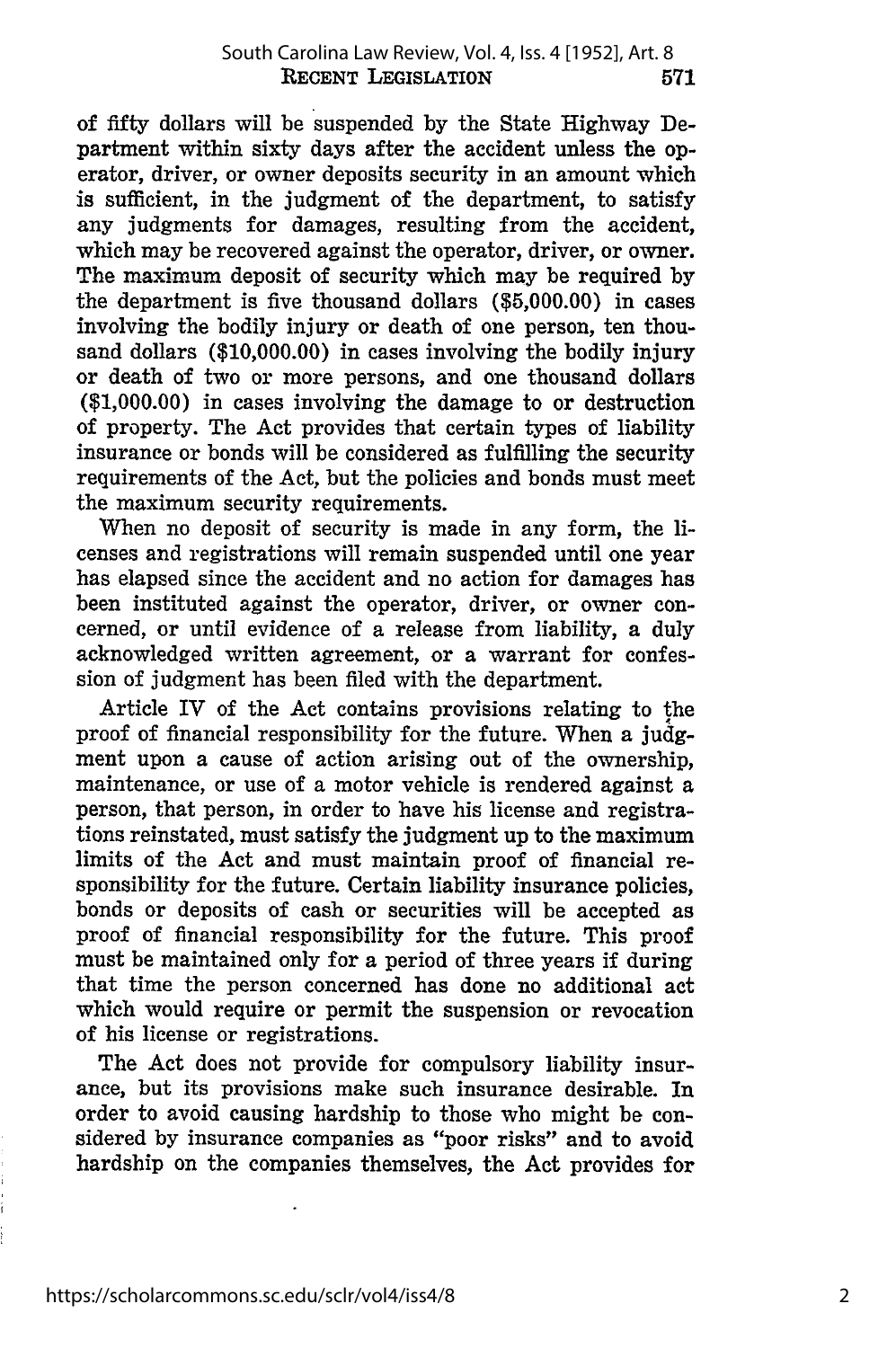of fifty dollars will be suspended by the State Highway Department within sixty days after the accident unless the operator, driver, or owner deposits security in an amount which is sufficient, in the judgment of the department, to satisfy any judgments for damages, resulting from the accident, which may be recovered against the operator, driver, or owner. The maximum deposit of security which may be required by the department is five thousand dollars (\$5,000.00) in cases involving the bodily injury or death of one person, ten thousand dollars (\$10,000.00) in cases involving the bodily injury or death of two or more persons, and one thousand dollars **(\$1,000.00)** in cases involving the damage to or destruction of property. The Act provides that certain types of liability insurance or bonds will be considered as fulfilling the security requirements of the Act, but the policies and bonds must meet the maximum security requirements.

When no deposit of security is made in any form, the licenses and registrations will remain suspended until one year has elapsed since the accident and no action for damages has been instituted against the operator, driver, or owner concerned, or until evidence of a release from liability, a duly acknowledged written agreement, or a warrant for confession of judgment has been filed with the department.

Article IV of the Act contains provisions relating to the proof of financial responsibility for the future. When a **judg**ment upon a cause of action arising out of the ownership, maintenance, or use of a motor vehicle is rendered against a person, that person, in order to have his license and registrations reinstated, must satisfy the judgment up to the maximum limits of the Act and must maintain proof of financial responsibility for the future. Certain liability insurance policies, bonds or deposits of cash or securities will be accepted as proof of financial responsibility for the future. This proof must be maintained only for a period of three years if during that time the person concerned has done no additional act which would require or permit the suspension or revocation of his license or registrations.

The Act does not provide for compulsory liability insurance, but its provisions make such insurance desirable. In order to avoid causing hardship to those who might be considered **by** insurance companies as "poor risks" and to avoid hardship on the companies themselves, the Act provides for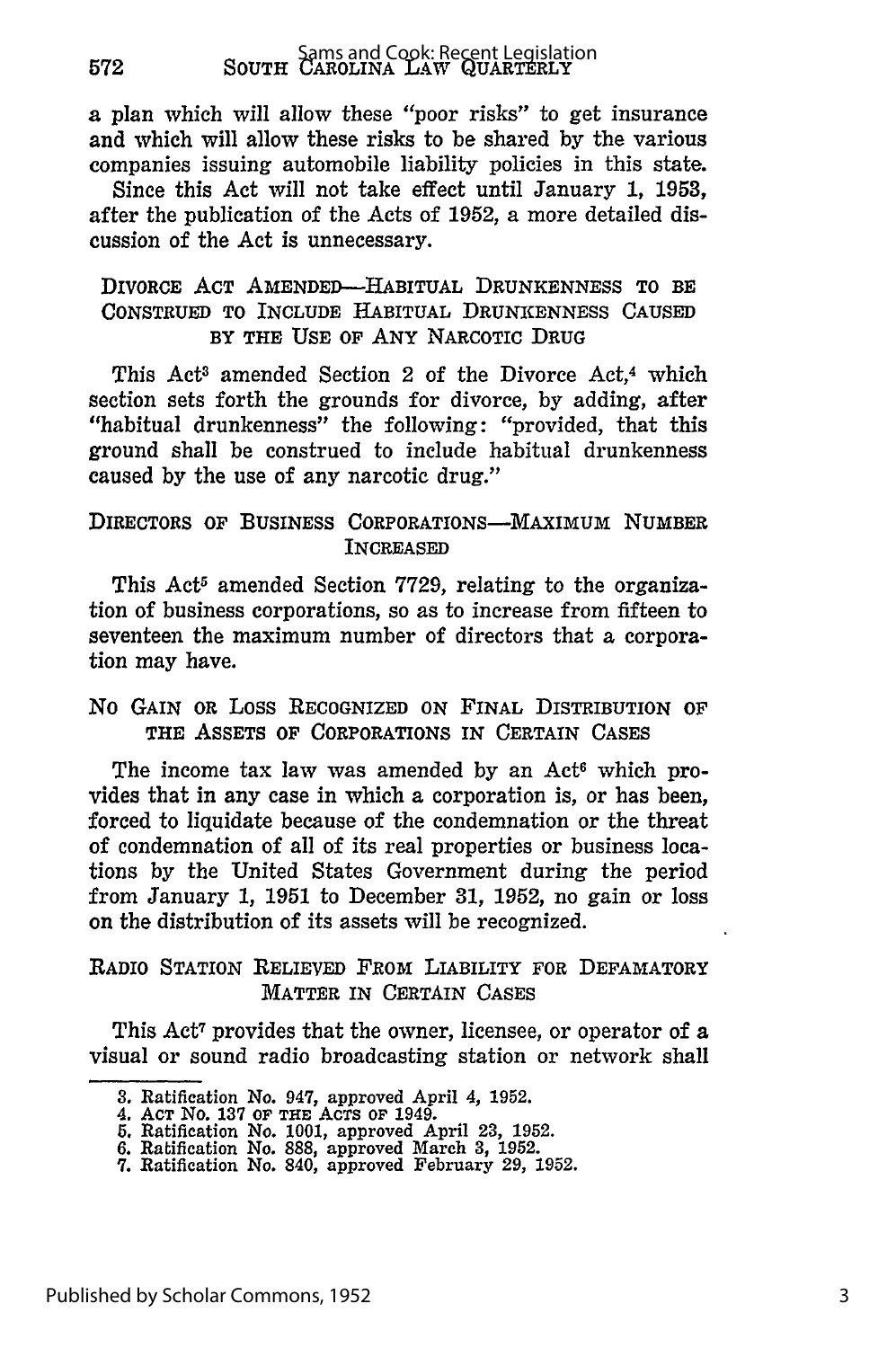a plan which will allow these "poor risks" to get insurance and which will allow these risks to be shared by the various companies issuing automobile liability policies in this state.

Since this Act will not take effect until January 1, 1953, after the publication of the Acts of 1952, a more detailed discussion of the Act is unnecessary.

#### DIVORCE **ACT** AMENDED--HABITUAL DRUNKENNESS TO BE **CONSTRUED** TO INCLUDE HABITUAL **DRUNKENNESS CAUSED** BY THE USE OF **ANY** NARCOTIC DRUG

This Act<sup>3</sup> amended Section 2 of the Divorce Act,<sup>4</sup> which section sets forth the grounds for divorce, **by** adding, after "habitual drunkenness" the following: "provided, that this ground shall be construed to include habitual drunkenness caused **by** the use of any narcotic drug."

#### **DIRECTORS OF BUSINESS CORPORATIONS-MAXIMUM NUMBER** INCREASED

This Act<sup>5</sup> amended Section 7729, relating to the organization of business corporations, so as to increase from fifteen to seventeen the maximum number of directors that a corporation may have.

#### No GAIN OR Loss RECOGNIZED ON **FINAL** DISTRIBUTION OF THE **ASSETS OF** CORPORATIONS **IN** CERTAIN **CASES**

The income tax law was amended by an Act<sup>6</sup> which provides that in any case in which a corporation is, or has been, forced to liquidate because of the condemnation or the threat of condemnation of all of its real properties or business locations **by** the United States Government during the period from January **1, 1951** to December **31, 1952,** no gain or loss on the distribution of its assets will be recognized.

### RADIO STATION RELIEVED FROM LIABILITY FOR DEFAMATORY MATTER IN **CERTAIN CASES**

This Act<sup>7</sup> provides that the owner, licensee, or operator of a visual or sound radio broadcasting station or network shall

**<sup>3.</sup>** Ratification No. 947, approved April 4, **1952.**

<sup>4.</sup> **ACT** No. **137 OF THE ACTS OF 1949.**

**<sup>5.</sup>** Ratification No. **1001,** approved April **23, 1952.**

**<sup>6.</sup>** Ratification No. **888,** approved March **3, 1952. 7.** Ratification No. 840, approved February **29, 1952.**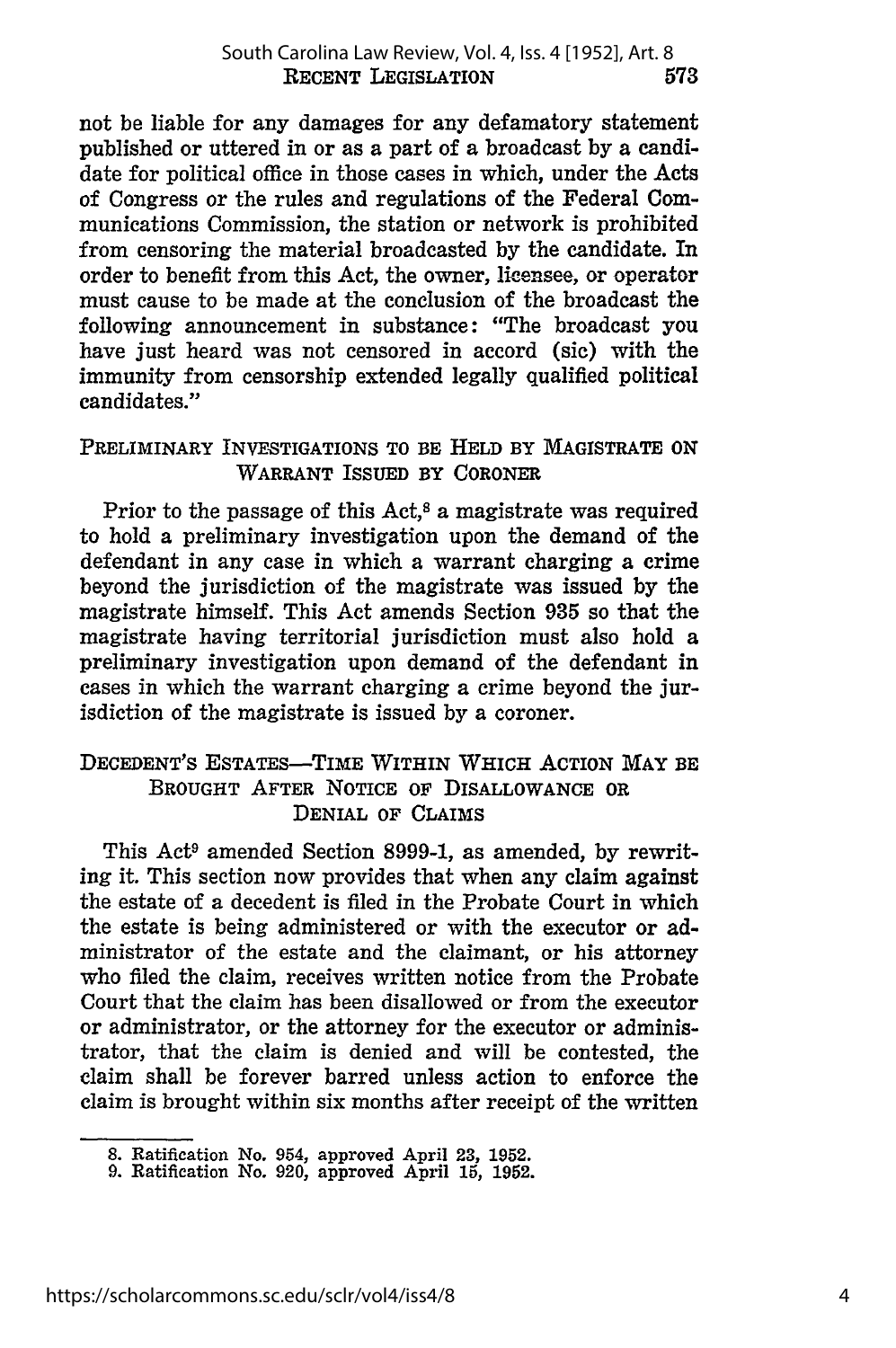not be liable for any damages for any defamatory statement published or uttered in or as a part of a broadcast by a candidate for political office in those cases in which, under the Acts of Congress or the rules and regulations of the Federal Communications Commission, the station or network is prohibited from censoring the material broadcasted by the candidate. In order to benefit from this Act, the owner, licensee, or operator must cause to be made at the conclusion of the broadcast the following announcement in substance: "The broadcast you have just heard was not censored in accord (sic) with the immunity from censorship extended legally qualified political candidates."

### **PRELIMINARY INVESTIGATIONS TO BE HELD BY MAGISTRATE ON WARRANT ISSUED BY CORONER**

Prior to the passage of this Act,<sup>8</sup> a magistrate was required to hold a preliminary investigation upon the demand of the defendant in any case in which a warrant charging a crime beyond the jurisdiction of the magistrate was issued **by** the magistrate himself. This Act amends Section **935** so that the magistrate having territorial jurisdiction must also hold a preliminary investigation upon demand of the defendant in cases in which the warrant charging a crime beyond the jurisdiction of the magistrate is issued **by** a coroner.

### **DECEDENT'S ESTATES-TIME WITHIN WHICH ACTION MAY BE BROUGHT AFTER NOTICE OF DISALLOWANCE OR** DENIAL **OF CLAIMS**

This Act<sup>9</sup> amended Section 8999-1, as amended, by rewriting it. This section now provides that when any claim against the estate of a decedent is filed in the Probate Court in which the estate is being administered or with the executor or administrator of the estate and the claimant, or his attorney who filed the claim, receives written notice from the Probate Court that the claim has been disallowed or from the executor or administrator, or the attorney for the executor or administrator, that the claim is denied and will be contested, the claim shall be forever barred unless action to enforce the claim is brought within six months after receipt of the written

**<sup>8.</sup>** Ratification No. 954, approved April **23, 1952. 9.** Ratification No. 920, approved April **15, 1952.**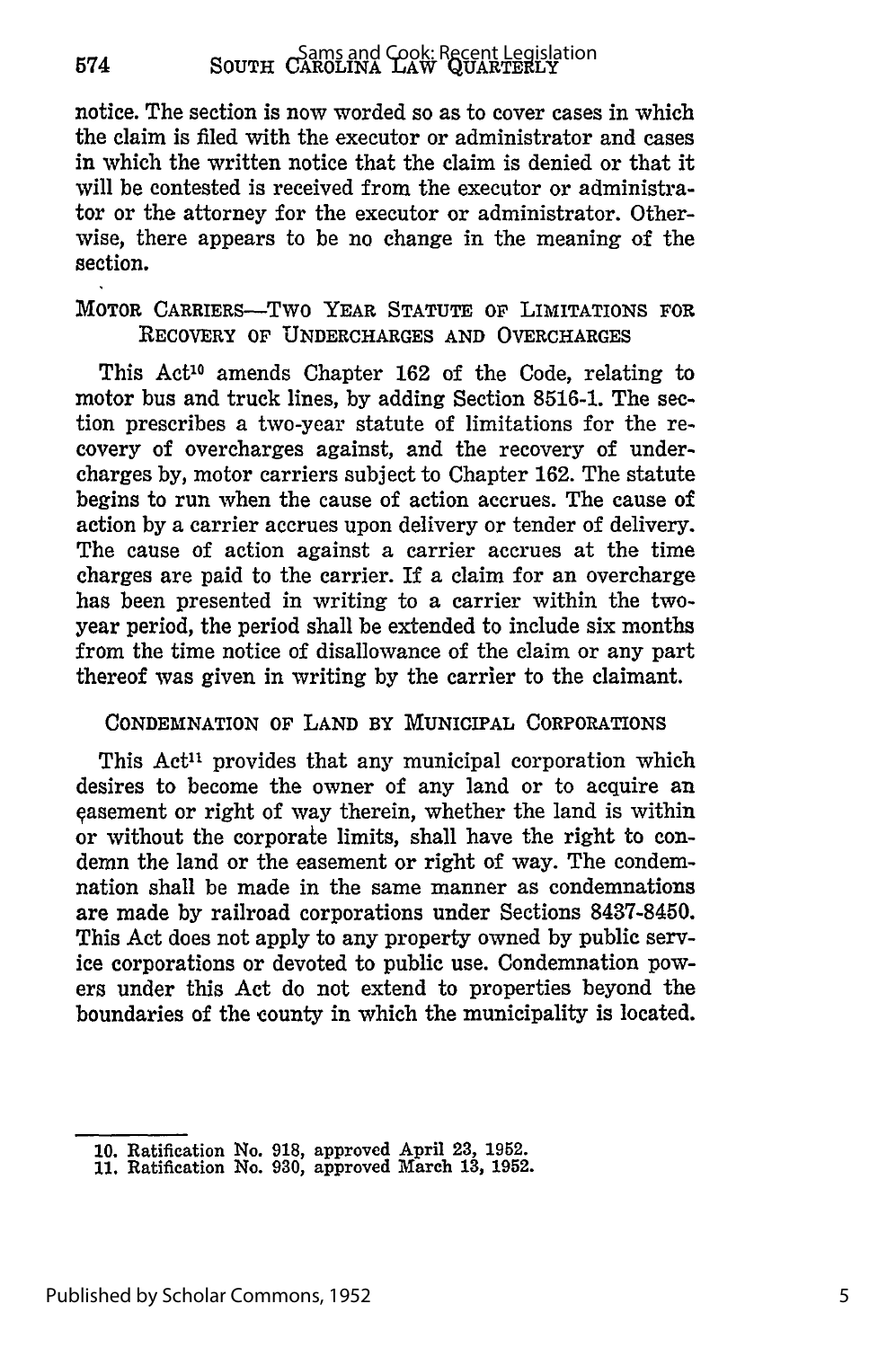notice. The section is now worded so as to cover cases in which the claim is filed with the executor or administrator and cases in which the written notice that the claim is denied or that it will be contested is received from the executor or administrator or the attorney for the executor or administrator. Otherwise, there appears to be no change in the meaning of the section.

#### MOTOR CARRIERS-TWO YEAR STATUTE OF LIMITATIONS FOR RECOVERY OF **UNDERCHARGES AND** OVERCHARGES

This Act<sup>10</sup> amends Chapter 162 of the Code, relating to motor bus and truck lines, **by** adding Section **8516-1.** The section prescribes a two-year statute of limitations for the recovery of overcharges against, and the recovery of undercharges **by,** motor carriers subject to Chapter **162.** The statute begins to run when the cause of action accrues. The cause of action **by** a carrier accrues upon delivery or tender of delivery. The cause of action against a carrier accrues at the time charges are paid to the carrier. If a claim for an overcharge has been presented in writing to a carrier within the twoyear period, the period shall be extended to include six months from the time notice of disallowance of the claim or any part thereof was given in writing **by** the carrier to the claimant.

#### **CONDEMNATION** OF **LAND** BY MUNICIPAL CORPORATIONS

This Act<sup>11</sup> provides that any municipal corporation which desires to become the owner of any land or to acquire an easement or right of way therein, whether the land is within or without the corporate limits, shall have the right to condemn the land or the easement or right of way. The condemnation shall be made in the same manner as condemnations are made **by** railroad corporations under Sections **8437-8450.** This Act does not apply to any property owned **by** public service corporations or devoted to public use. Condemnation powers under this Act do not extend to properties beyond the boundaries of the county in which the municipality is located.

**<sup>10.</sup>** Ratification No. **918,** approved April **23, 1952. 11.** Ratification No. **930,** approved March **13, 1952.**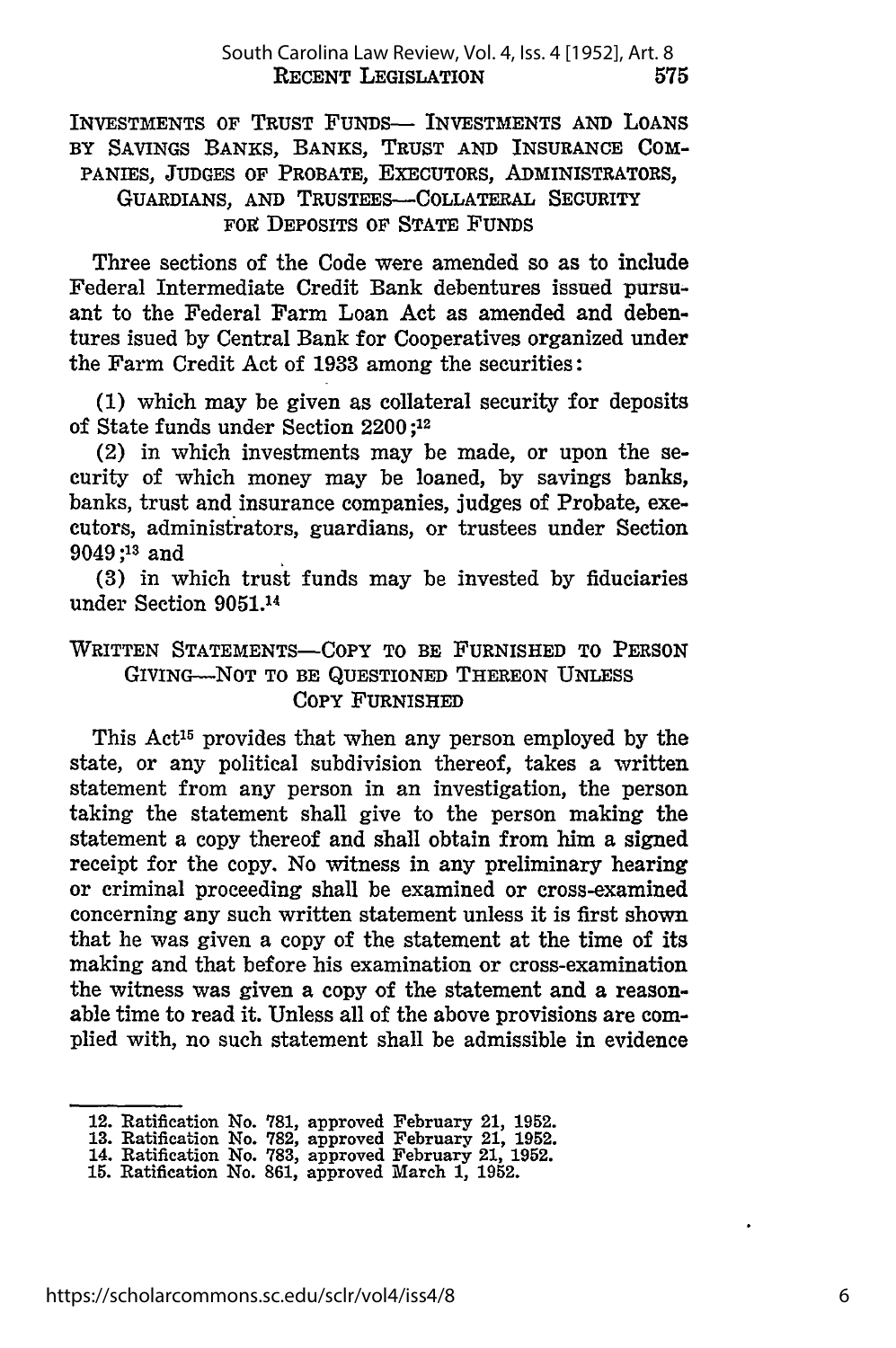INVESTMENTS OF TRUST FUNDS- INVESTMENTS AND LOANS BY SAVINGS BANKS, BANKS, TRUST **AND INSURANCE COM-**PANIES, JUDGES OF PROBATE, EXECUTORS, ADMINISTRATORS, GUARDIANS, **AND** TRUSTEES-COLLATERAL SECURITY FOR **DEPOSITS OF STATE FUNDS** 

Three sections of the Code were amended so as to include Federal Intermediate Credit Bank debentures issued pursuant to the Federal Farm Loan Act as amended and debentures isued by Central Bank for Cooperatives organized under the Farm Credit Act of **1933** among the securities:

(1) which may be given as collateral security for deposits of State funds under Section 2200 ;12

(2) in which investments may be made, or upon the security of which money may be loaned, by savings banks, banks, trust and insurance companies, judges of Probate, executors, administrators, guardians, or trustees under Section 9049;13 and

(3) in which trust funds may be invested by fiduciaries under Section 9051.14

### WRITTEN STATEMENTS-COPY TO BE **FURNISHED** TO PERSON GIVING-NOT TO BE QUESTIONED THEREON **UNLESS** COPY FURNISHED

This Act<sup>15</sup> provides that when any person employed by the state, or any political subdivision thereof, takes a written statement from any person in an investigation, the person taking the statement shall give to the person making the statement a copy thereof and shall obtain from him a signed receipt for the copy. No witness in any preliminary hearing or criminal proceeding shall be examined or cross-examined concerning any such written statement unless it is first shown that he was given a copy of the statement at the time of its making and that before his examination or cross-examination the witness was given a copy of the statement and a reasonable time to read it. Unless all of the above provisions are complied with, no such statement shall be admissible in evidence

<sup>12.</sup> Ratification No. **781,** approved February 21, **1952. 13.** Ratification No. **782,** approved February 21, **1952.** 14. Ratification No. **783,** approved February 21, **1952.**

**<sup>15.</sup>** Ratification No. **861,** approved March **1, 1952.**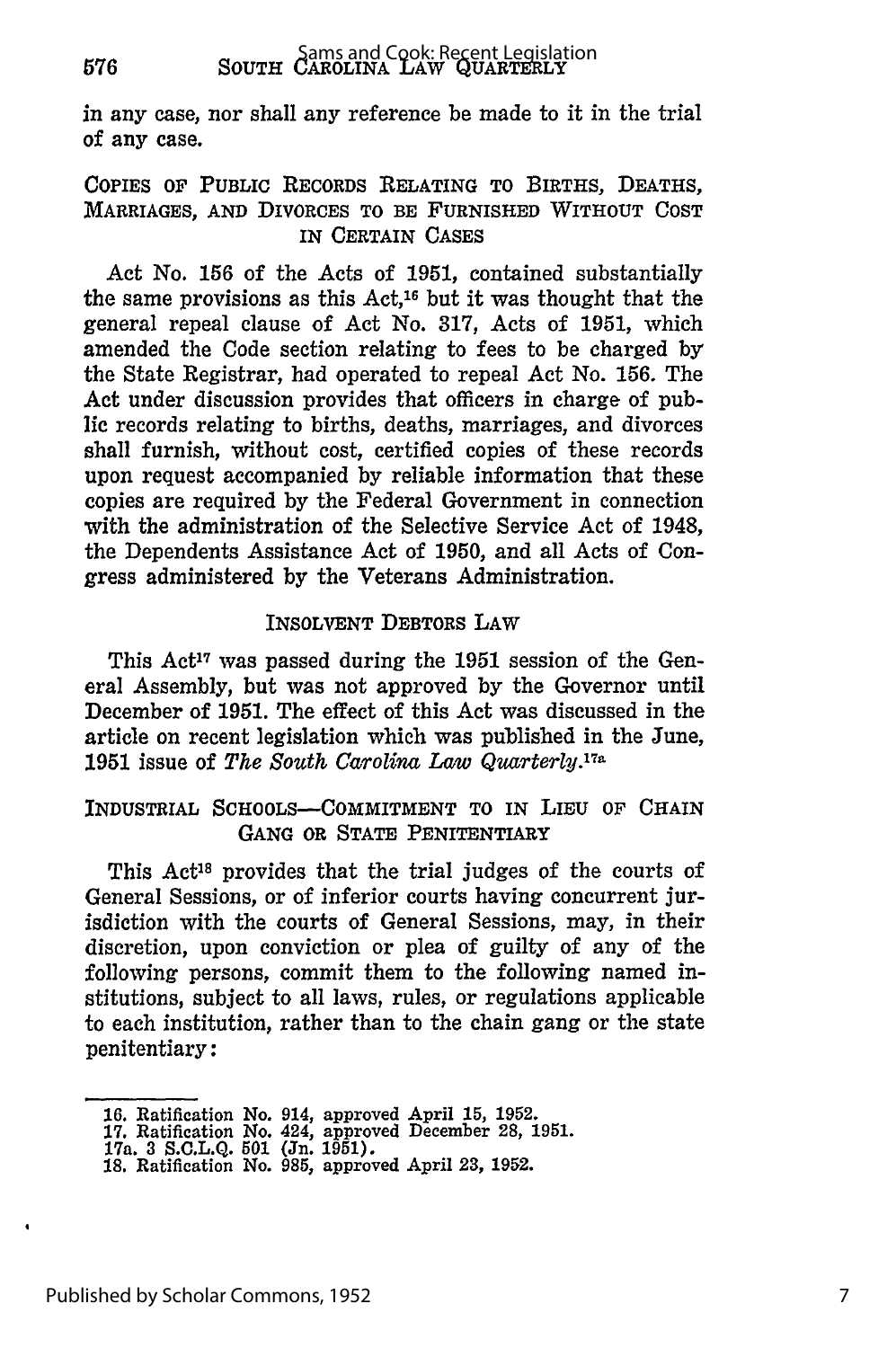in any case, nor shall any reference be made to it in the trial of any case.

#### COPIES OF PUBLIC RECORDS RELATING TO BIRTHS, DEATHS, MARRIAGES, **AND** DIVORCES TO BE FURNISHED WITHOUT COST IN **CERTAIN CASES**

Act No. **156** of the Acts of **1951,** contained substantially the same provisions as this Act,16 but it was thought that the general repeal clause of Act No. **317,** Acts of **1951,** which amended the Code section relating to fees to be charged **by** the State Registrar, had operated to repeal Act No. **156.** The Act under discussion provides that officers in charge of public records relating to births, deaths, marriages, and divorces shall furnish, without cost, certified copies of these records upon request accompanied **by** reliable information that these copies are required **by** the Federal Government in connection with the administration of the Selective Service Act of 1948, the Dependents Assistance Act of **1950,** and all Acts of Congress administered by the Veterans Administration.

#### INSOLVENT DEBTORS LAW

This Act<sup>17</sup> was passed during the 1951 session of the General Assembly, but was not approved by the Governor until December of **1951.** The effect of this Act was discussed in the article on recent legislation which was published in the June, **1951** issue of *The South Carolina Law Quarterly.7 a*

#### INDUSTRIAL SCHOOLS-COMMITMENT TO IN LIEU OF CHAIN GANG OR **STATE** PENITENTIARY

This Act<sup>18</sup> provides that the trial judges of the courts of General Sessions, or of inferior courts having concurrent jurisdiction with the courts of General Sessions, may, in their discretion, upon conviction or plea of guilty of any of the following persons, commit them to the following named institutions, subject to all laws, rules, or regulations applicable to each institution, rather than to the chain gang or the state penitentiary:

**<sup>16.</sup>** Ratification No. 914, approved April **15, 1952.**

**<sup>17.</sup>** Ratification No. 424, approved December **28, 1951.** 17a. **3 S.C.L.Q. 501** (Jn. **1951). 18.** Ratification No. **985,** approved April **23, 1952.**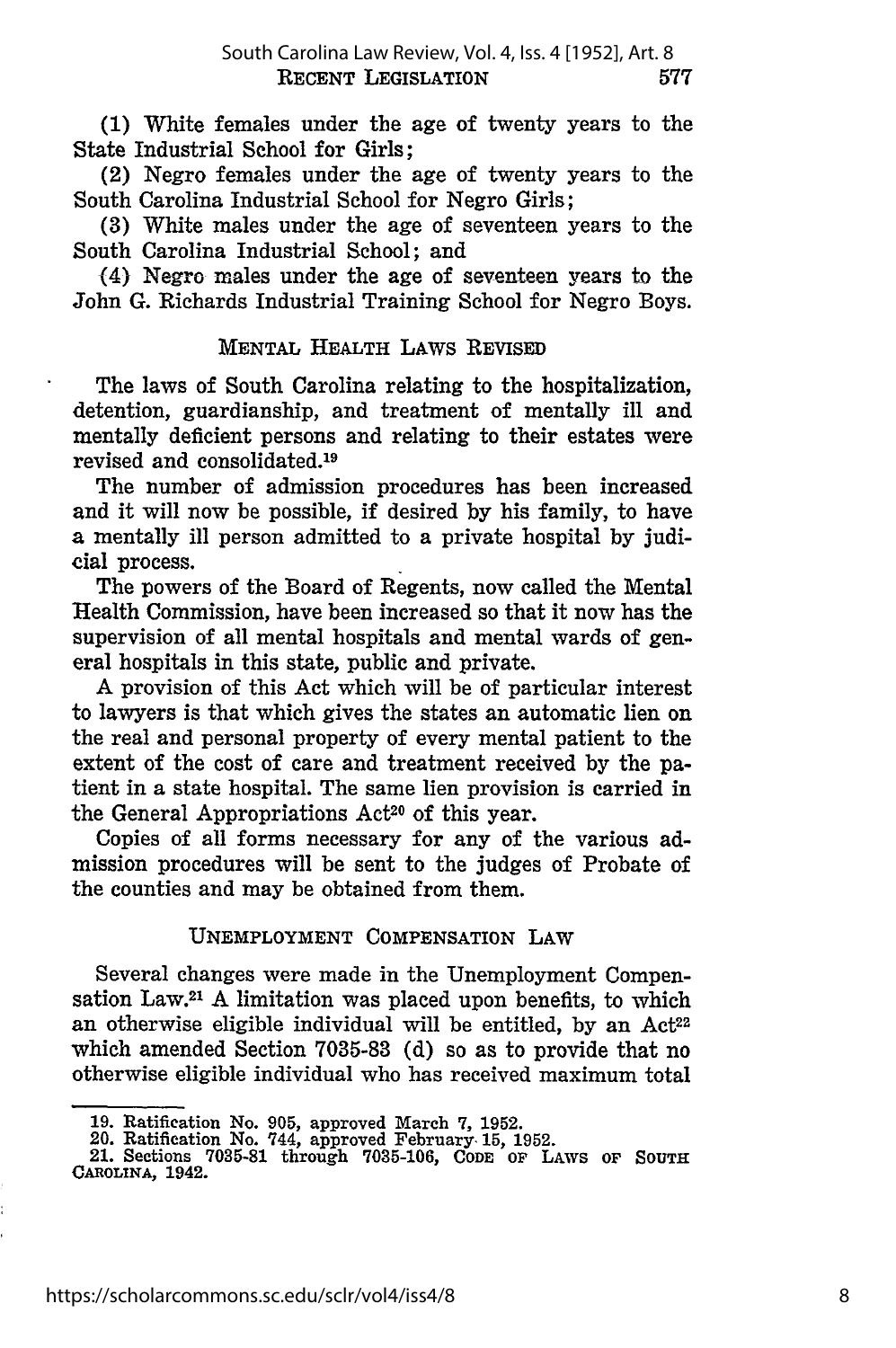**(1)** White females under the age of twenty years to the State Industrial School for Girls;

(2) Negro females under the age of twenty years to the South Carolina Industrial School for Negro Girls;

**(3)** White males under the age of seventeen years to the South Carolina Industrial School; and

(4) Negro males under the age of seventeen years to the John **G.** Richards Industrial Training School for Negro Boys.

#### **MENTAL** HEALTH LAWS REVISED

The laws of South Carolina relating to the hospitalization, detention, guardianship, and treatment of mentally ill and mentally deficient persons and relating to their estates were revised and consolidated. <sup>19</sup>

The number of admission procedures has been increased and it will now be possible, if desired **by** his family, to have a mentally **ill** person admitted to a private hospital **by** judicial process.

The powers of the Board of Regents, now called the Mental Health Commission, have been increased so that it now has the supervision of all mental hospitals and mental wards of general hospitals in this state, public and private.

A provision of this Act which will be of particular interest to lawyers is that which gives the states an automatic lien on the real and personal property of every mental patient to the extent of the cost of care and treatment received **by** the patient in a state hospital. The same lien provision is carried in the General Appropriations  $Act^{20}$  of this year.

Copies of all forms necessary for any of the various admission procedures will be sent to the judges of Probate of the counties and may be obtained from them.

#### **UNEMPLOYMENT** COMPENSATION LAW

Several changes were made in the Unemployment Compensation Law.21 A limitation was placed upon benefits, to which an otherwise eligible individual will be entitled, by an Act<sup>22</sup> which amended Section **7035-83 (d)** so as to provide that no otherwise eligible individual who has received maximum total

**<sup>19.</sup>** Ratification No. **905,** approved March **7, 1952.** 20. Ratification No. 744, approved February. **15, 1952.**

<sup>21.</sup> Sections **7035-81** through **7035-106, CODE OF LAWS OF SOUTH CAROLINA, 1942.**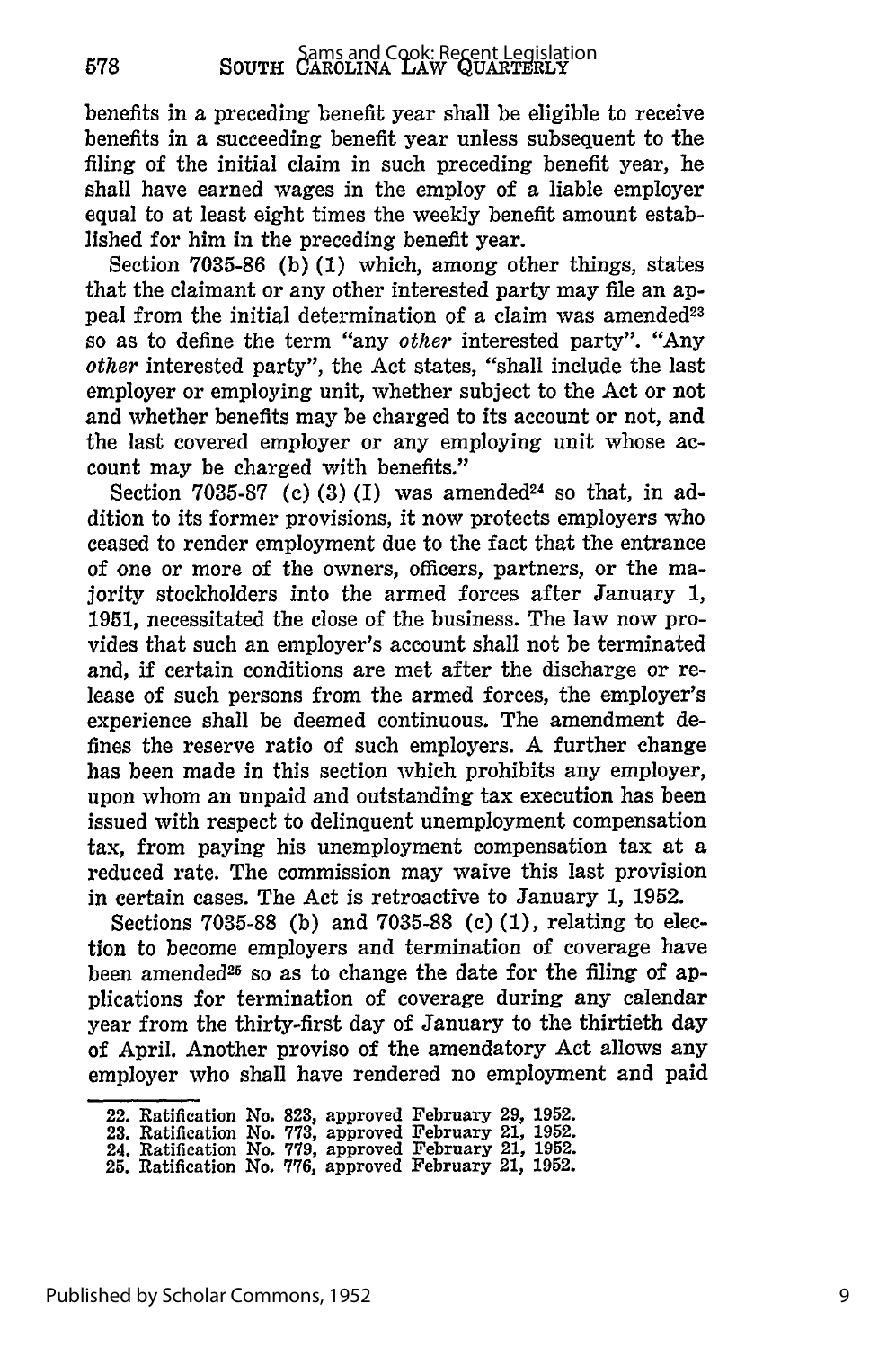benefits in a preceding benefit year shall be eligible to receive benefits in a succeeding benefit year unless subsequent to the filing of the initial claim in such preceding benefit year, he shall have earned wages in the employ of a liable employer equal to at least eight times the weekly benefit amount established for him in the preceding benefit year.

Section 7035-86 (b) **(1)** which, among other things, states that the claimant or any other interested party may file an appeal from the initial determination of a claim was amended<sup>23</sup> so as to define the term "any *other* interested party". "Any *other* interested party", the Act states, "shall include the last employer or employing unit, whether subject to the Act or not and whether benefits may be charged to its account or not, and the last covered employer or any employing unit whose account may be charged with benefits."

Section 7035-87 **(c)** (3) **(I)** was amended24 so that, in addition to its former provisions, it now protects employers who ceased to render employment due to the fact that the entrance of one or more of the owners, officers, partners, or the majority stockholders into the armed forces after January 1, 1951, necessitated the close of the business. The law now provides that such an employer's account shall not be terminated and, **if** certain conditions are met after the discharge or release of such persons from the armed forces, the employer's experience shall be deemed continuous. The amendment defines the reserve ratio of such employers. A further change has been made in this section which prohibits any employer, upon whom an unpaid and outstanding tax execution has been issued with respect to delinquent unemployment compensation tax, from paying his unemployment compensation tax at a reduced rate. The commission may waive this last provision in certain cases. The Act is retroactive to January 1, **1952.**

Sections **7035-88 (b)** and 7035-88 **(c)** (1), relating to election to become employers and termination of coverage have been amended<sup>25</sup> so as to change the date for the filing of applications for termination of coverage during any calendar year from the thirty-first day of January to the thirtieth day of April. Another proviso of the amendatory Act allows any employer who shall have rendered no employment and paid

<sup>22.</sup> Ratification No. **823,** approved February **29, 1952.**

**<sup>23.</sup>** Ratification No. **773,** approved February 21, **1952.**

<sup>24.</sup> Ratification *No.* **779,** approved February 21, **1952.**

**<sup>25.</sup>** Ratification No. **776,** approved February 21, **1952.**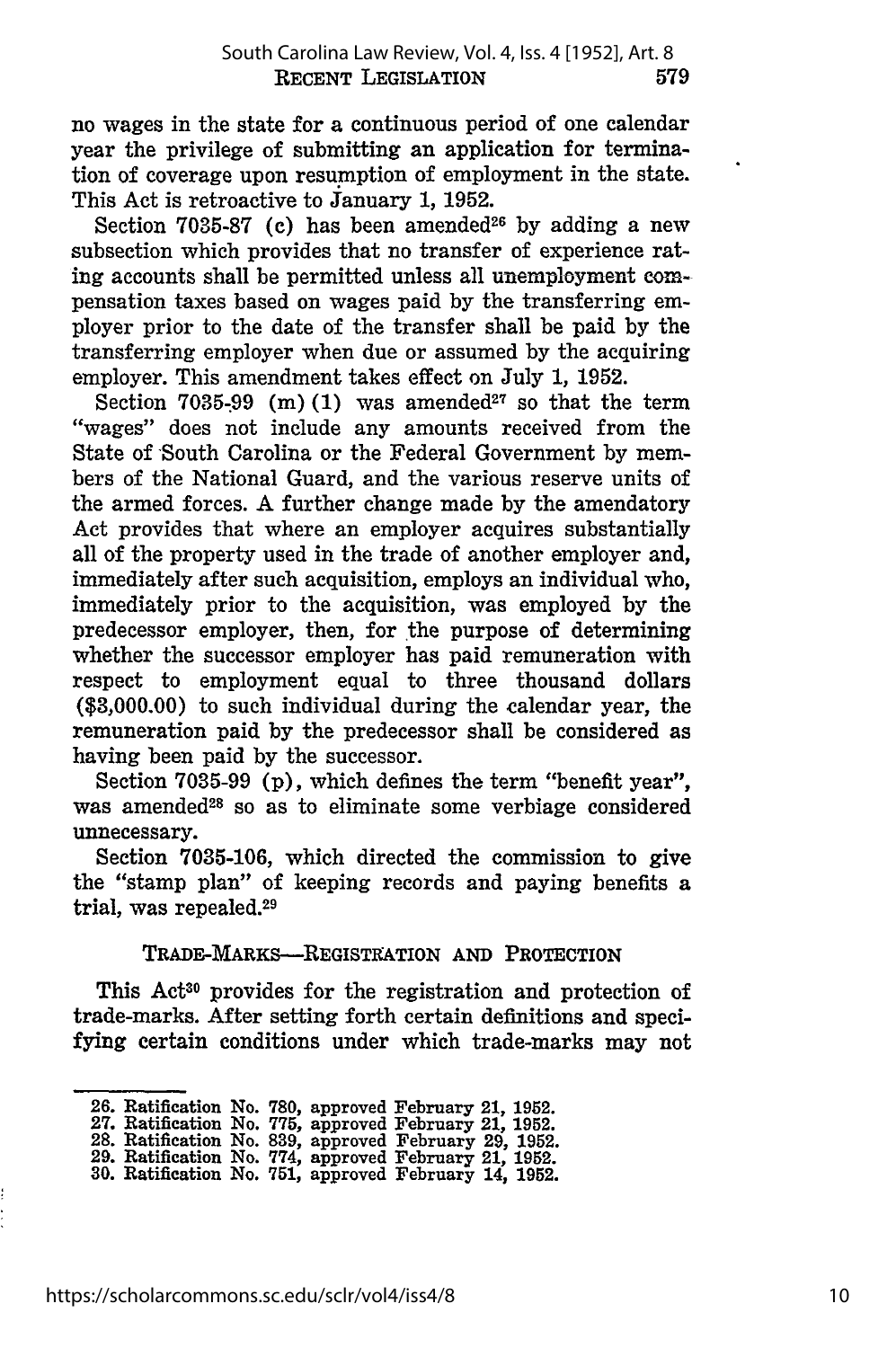no wages in the state for a continuous period of one calendar year the privilege of submitting an application for termination of coverage upon resumption of employment in the state. This Act is retroactive to January **1, 1952.**

Section **7035-87 (c)** has been amended26 **by** adding a new subsection which provides that no transfer of experience rating accounts shall be permitted unless all unemployment compensation taxes based on wages paid **by** the transferring employer prior to the date of the transfer shall be paid **by** the transferring employer when due or assumed **by** the acquiring employer. This amendment takes effect on July **1, 1952.**

Section  $7035-99$  (m) (1) was amended<sup>27</sup> so that the term "wages" does not include any amounts received from the State of South Carolina or the Federal Government **by** members of the National Guard, and the various reserve units of the armed forces. A further change made **by** the amendatory Act provides that where an employer acquires substantially all of the property used in the trade of another employer and, immediately after such acquisition, employs an individual who, immediately prior to the acquisition, was employed **by** the predecessor employer, then, for the purpose of determining whether the successor employer has paid remuneration with respect to employment equal to three thousand dollars **(\$3,000.00)** to such individual during the calendar year, the remuneration paid **by** the predecessor shall be considered as having been paid **by** the successor.

Section **7035-99 (p),** which defines the term "benefit year", was amended<sup>28</sup> so as to eliminate some verbiage considered unnecessary.

Section **7035-106,** which directed the commission to give the "stamp plan" of keeping records and paying benefits a trial, was repealed.<sup>29</sup>

TRADE-MARKS-REGISTRATION **AND** PROTECTION

This Act<sup>30</sup> provides for the registration and protection of trade-marks. After setting forth certain definitions and specifying certain conditions under which trade-marks may not

**<sup>26.</sup>** Ratification No. **780,** approved February 21, **1952. 27.** Ratification No. **775,** approved February **21, 1952.**

**<sup>28.</sup>** Ratification No. **839,** approved February **29, 1952. 29.** Ratification No. **774,** approved February 21, **1952.**

**<sup>30.</sup>** Ratification No. 751, approved February 14, **1952.**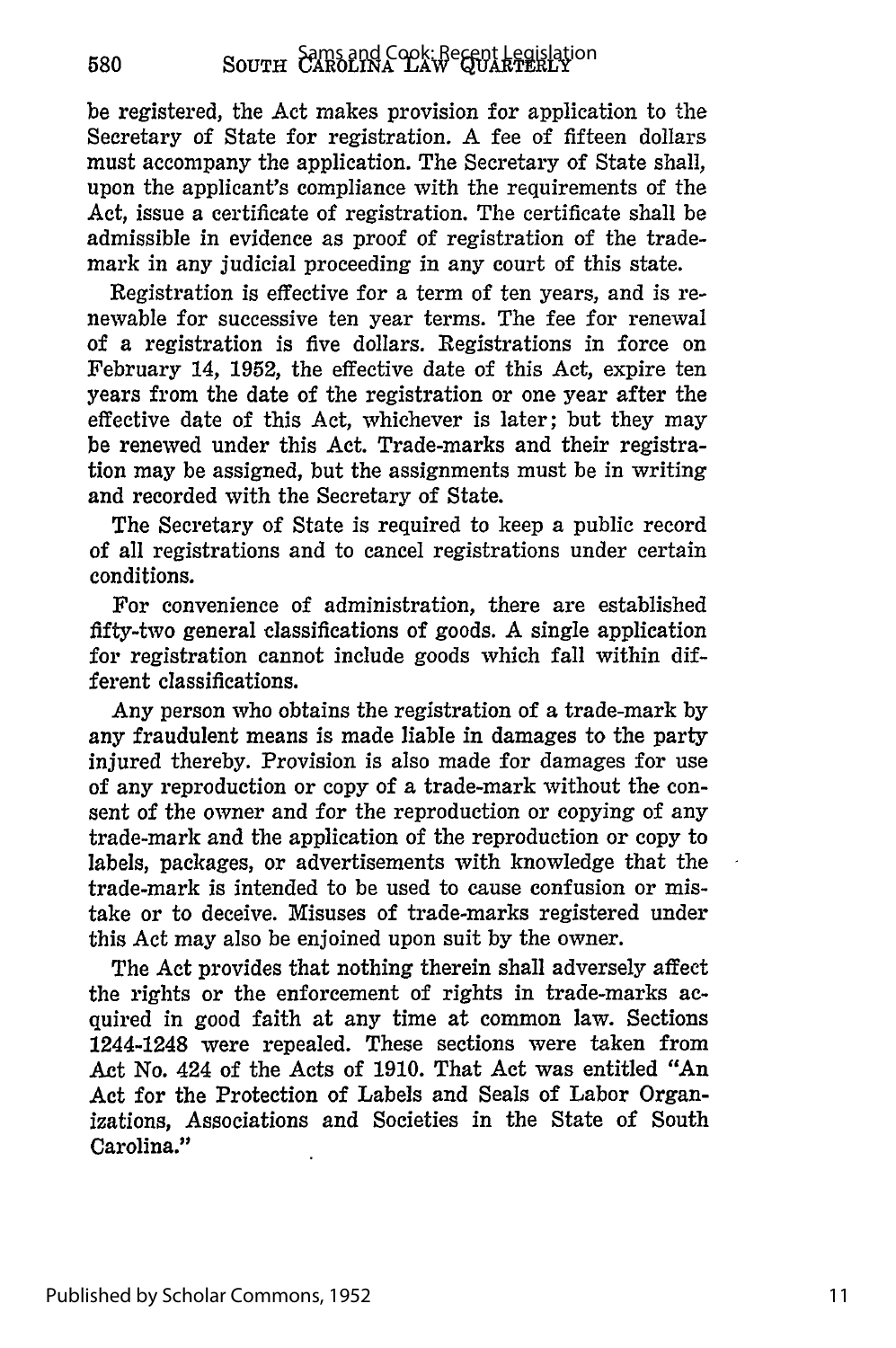580

be registered, the Act makes provision for application to the Secretary of State for registration. A fee of fifteen dollars must accompany the application. The Secretary of State shall, upon the applicant's compliance with the requirements of the Act, issue a certificate of registration. The certificate shall be admissible in evidence as proof of registration of the trademark in any judicial proceeding in any court of this state.

Registration is effective for a term of ten years, and is renewable for successive ten year terms. The fee for renewal of a registration is five dollars. Registrations in force on February 14, 1952, the effective date of this Act, expire ten years from the date of the registration or one year after the effective date of this Act, whichever is later; but they may be renewed under this Act. Trade-marks and their registration may be assigned, but the assignments must be in writing and recorded with the Secretary of State.

The Secretary of State is required to keep a public record of all registrations and to cancel registrations under certain conditions.

For convenience of administration, there are established fifty-two general classifications of goods. A single application for registration cannot include goods which fall within different classifications.

Any person who obtains the registration of a trade-mark by any fraudulent means is made liable in damages to the party injured thereby. Provision is also made for damages for use of any reproduction or copy of a trade-mark without the consent of the owner and for the reproduction or copying of any trade-mark and the application of the reproduction or copy to labels, packages, or advertisements with knowledge that the trade-mark is intended to be used to cause confusion or mistake or to deceive. Misuses of trade-marks registered under this Act may also be enjoined upon suit by the owner.

The Act provides that nothing therein shall adversely affect the rights or the enforcement of rights in trade-marks acquired in good faith at any time at common law. Sections 1244-1248 were repealed. These sections were taken from Act No. 424 of the Acts of 1910. That Act was entitled "An Act for the Protection of Labels and Seals of Labor Organizations, Associations and Societies in the State of South Carolina."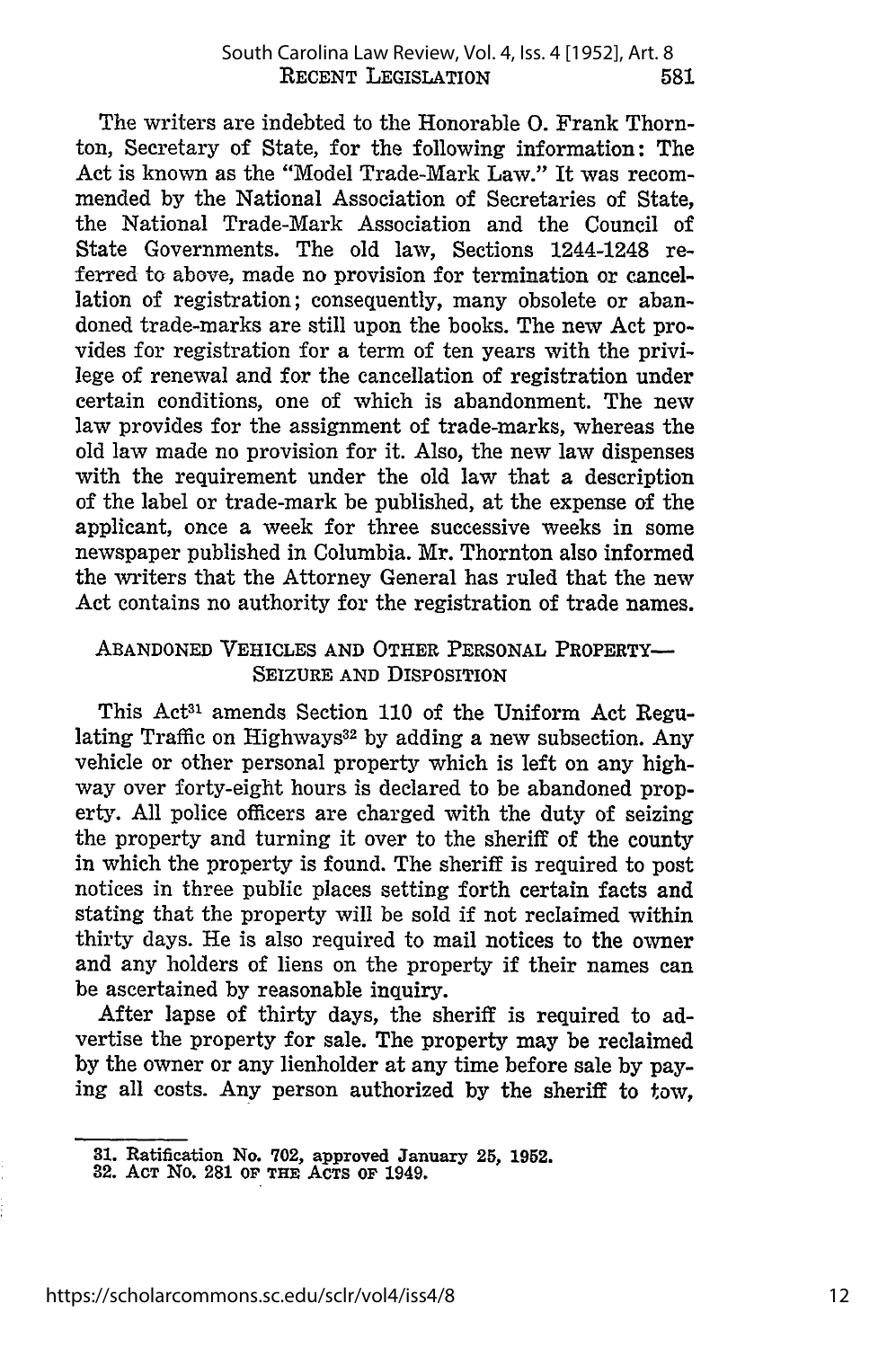The writers are indebted to the Honorable **0.** Frank Thornton, Secretary of State, for the following information: The Act is known as the "Model Trade-Mark Law." It was recommended **by** the National Association of Secretaries of State, the National Trade-Mark Association and the Council of State Governments. The old law, Sections 1244-1248 referred to above, made no provision for termination or cancellation of registration; consequently, many obsolete or abandoned trade-marks are still upon the books. The new Act provides for registration for a term of ten years with the privilege of renewal and for the cancellation of registration under certain conditions, one of which is abandonment. The new law provides for the assignment of trade-marks, whereas the old law made no provision for it. Also, the new law dispenses with the requirement under the old law that a description of the label or trade-mark be published, at the expense of the applicant, once a week for three successive weeks in some newspaper published in Columbia. Mr. Thornton also informed the writers that the Attorney General has ruled that the new Act contains no authority for the registration of trade names.

#### **ABANDONED** VEHICLES **AND** OTHER **PERSONAL PROPERTY-SEIZURE AND** DISPOSITION

This Act31 amends Section **110** of the Uniform Act Regulating Traffic on Highways<sup>32</sup> by adding a new subsection. Any vehicle or other personal property which is left on any highway over forty-eight hours is declared to be abandoned property. **All** police officers are charged with the duty of seizing the property and turning it over to the sheriff of the county in which the property is found. The sheriff is required to post notices in three public places setting forth certain facts and stating that the property will be sold if not reclaimed within thirty days. He is also required to mail notices to the owner and any holders of liens on the property if their names can be ascertained **by** reasonable inquiry.

After lapse of thirty days, the sheriff is required to advertise the property for sale. The property may be reclaimed **by** the owner or any lienholder at any time before sale **by** paying all costs. Any person authorized **by** the sheriff to tow,

**<sup>31.</sup> Ratification No. 702, approved January 25, 1952.**

**<sup>32.</sup> ACT No. 281 OF THE** ACTS **OF 1949.**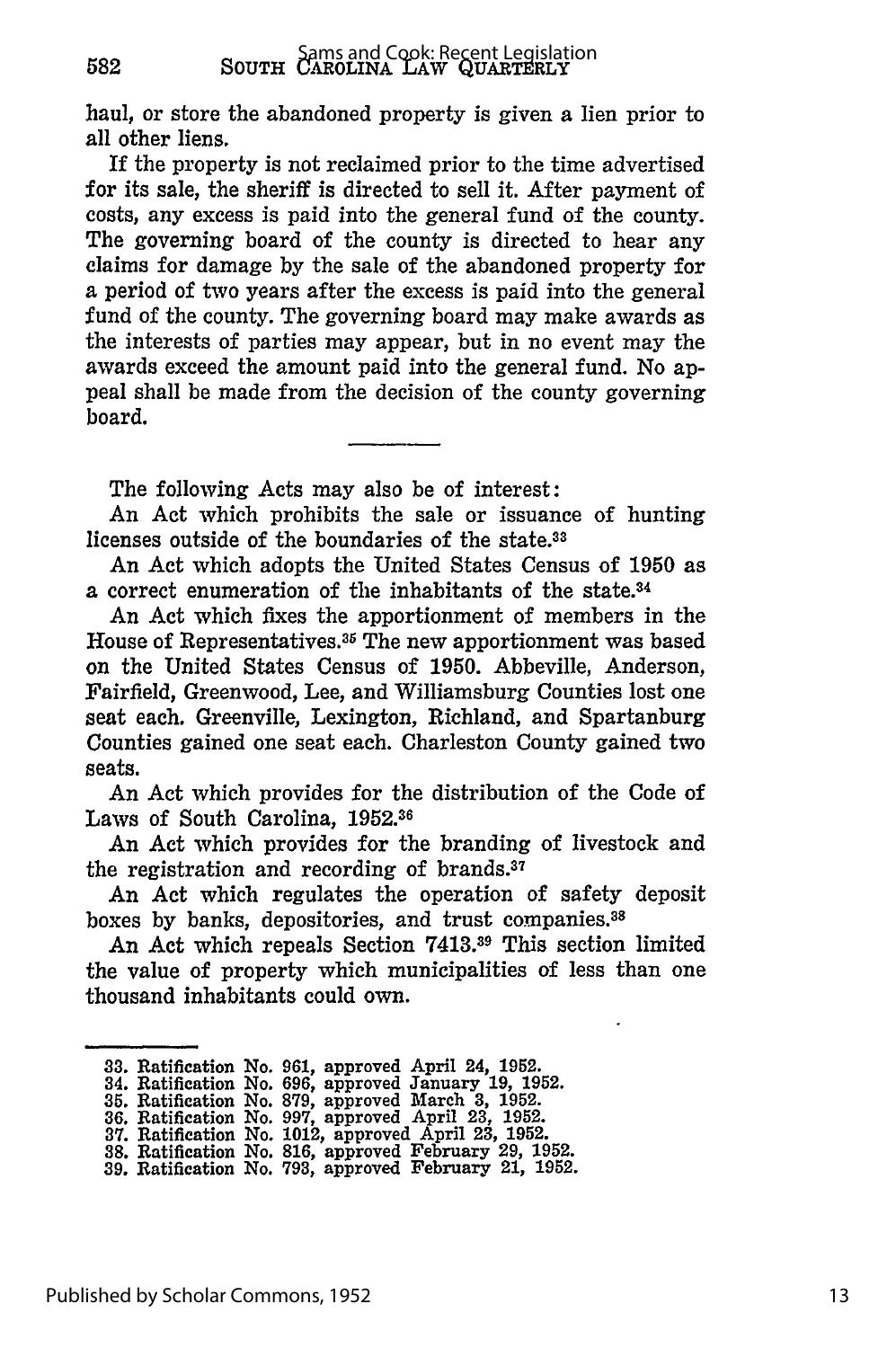haul, or store the abandoned property is given a lien prior to all other liens.

If the property is not reclaimed prior to the time advertised for its sale, the sheriff is directed to sell it. After payment of costs, any excess is paid into the general fund of the county. The governing board of the county is directed to hear any claims for damage **by** the sale of the abandoned property for a period of two years after the excess is paid into the general fund of the county. The governing board may make awards as the interests of parties may appear, but in no event may the awards exceed the amount paid into the general fund. No appeal shall be made from the decision of the county governing board.

The following Acts may also be of interest:

An Act which prohibits the sale or issuance of hunting licenses outside of the boundaries of the state.<sup>33</sup>

An Act which adopts the United States Census of **1950** as a correct enumeration of the inhabitants of the state.34

An Act which fixes the apportionment of members in the House of Representatives. 35 The new apportionment was based on the United States Census of **1950.** Abbeville, Anderson, Fairfield, Greenwood, Lee, and Williamsburg Counties lost one seat each. Greenville, Lexington, Richland, and Spartanburg Counties gained one seat each. Charleston County gained two seats.

An Act which provides for the distribution of the Code of Laws of South Carolina, **1952.<sup>36</sup>**

An Act which provides for the branding of livestock and the registration and recording of brands.<sup>37</sup>

An Act which regulates the operation of safety deposit boxes **by** banks, depositories, and trust companies. <sup>38</sup>

An Act which repeals Section **7413.19** This section limited the value of property which municipalities **of** less than one thousand inhabitants could own.

**<sup>33.</sup> Ratification No. 961, approved April 24, 1952.**

**<sup>34.</sup> Ratification No. 696, approved January 19, 1952.**

**<sup>35.</sup> Ratification No. 879, approved March 3, 1952. 36. Ratification No. 997, approved April 23, 1952. 37. Ratification No. 1012, approved** April **23, 1952.**

**<sup>38.</sup> Ratification No. 816, approved February 29, 1952.**

**<sup>39.</sup> Ratification No. 793, approved February 21, 1952.**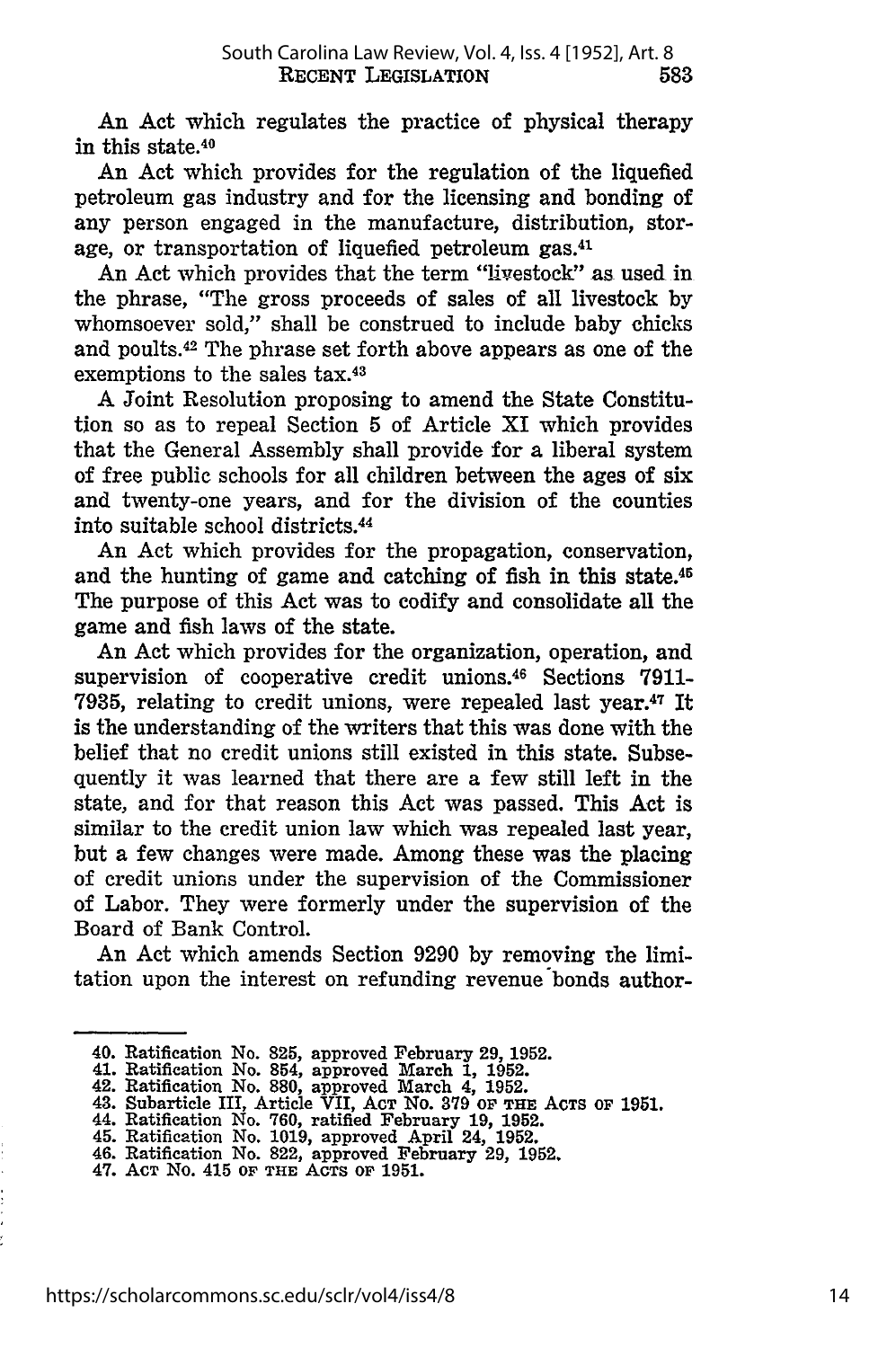An Act which regulates the practice of physical therapy in this state.40

An Act which provides for the regulation of the liquefied petroleum gas industry and for the licensing and bonding of any person engaged in the manufacture, distribution, storage, or transportation of liquefied petroleum gas.<sup>41</sup>

An Act which provides that the term "livestock" as used in the phrase, "The gross proceeds of sales of all livestock by whomsoever sold," shall be construed to include baby chicks and poults. 42 The phrase set forth above appears as one of the exemptions to the sales tax.43

**A** Joint Resolution proposing to amend the State Constitution so as to repeal Section 5 of Article XI which provides that the General Assembly shall provide for a liberal system of free public schools for all children between the ages of six and twenty-one years, and for the division of the counties into suitable school districts. <sup>44</sup>

An Act which provides for the propagation, conservation, and the hunting of game and catching of fish in this state.45 The purpose of this Act was to codify and consolidate all the game and fish laws of the state.

An Act which provides for the organization, operation, and supervision of cooperative credit unions.46 Sections **7911- 7935,** relating to credit unions, were repealed last year.47 It is the understanding of the writers that this was done with the belief that no credit unions still existed in this state. Subsequently it was learned that there are a few still left in the state, and for that reason this Act was passed. This Act is similar to the credit union law which was repealed last year, but a few changes were made. Among these was the placing of credit unions under the supervision of the Commissioner of Labor. They were formerly under the supervision of the Board of Bank Control.

An Act which amends Section **9290 by** removing the limitation upon the interest on refunding revenue bonds author-

<sup>40.</sup> Ratification No. **825,** approved February **29, 1952.**

<sup>41.</sup> Ratification No. 854, approved March 1, 1952.<br>42. Ratification No. 880, approved March 4, 1952.<br>43. Subarticle III, Article VII, Acr No. 379 of THE ACTS of 1951.<br>44. Ratification No. 760, ratified February 19, 1952.

<sup>45.</sup> Ratification No. **1019,** approved April 24, **1952.** 46. Ratification No. 822, approved February **29, 1952.**

<sup>47.</sup> **ACT** No. 415 **OF THE ACTS OF 1951.**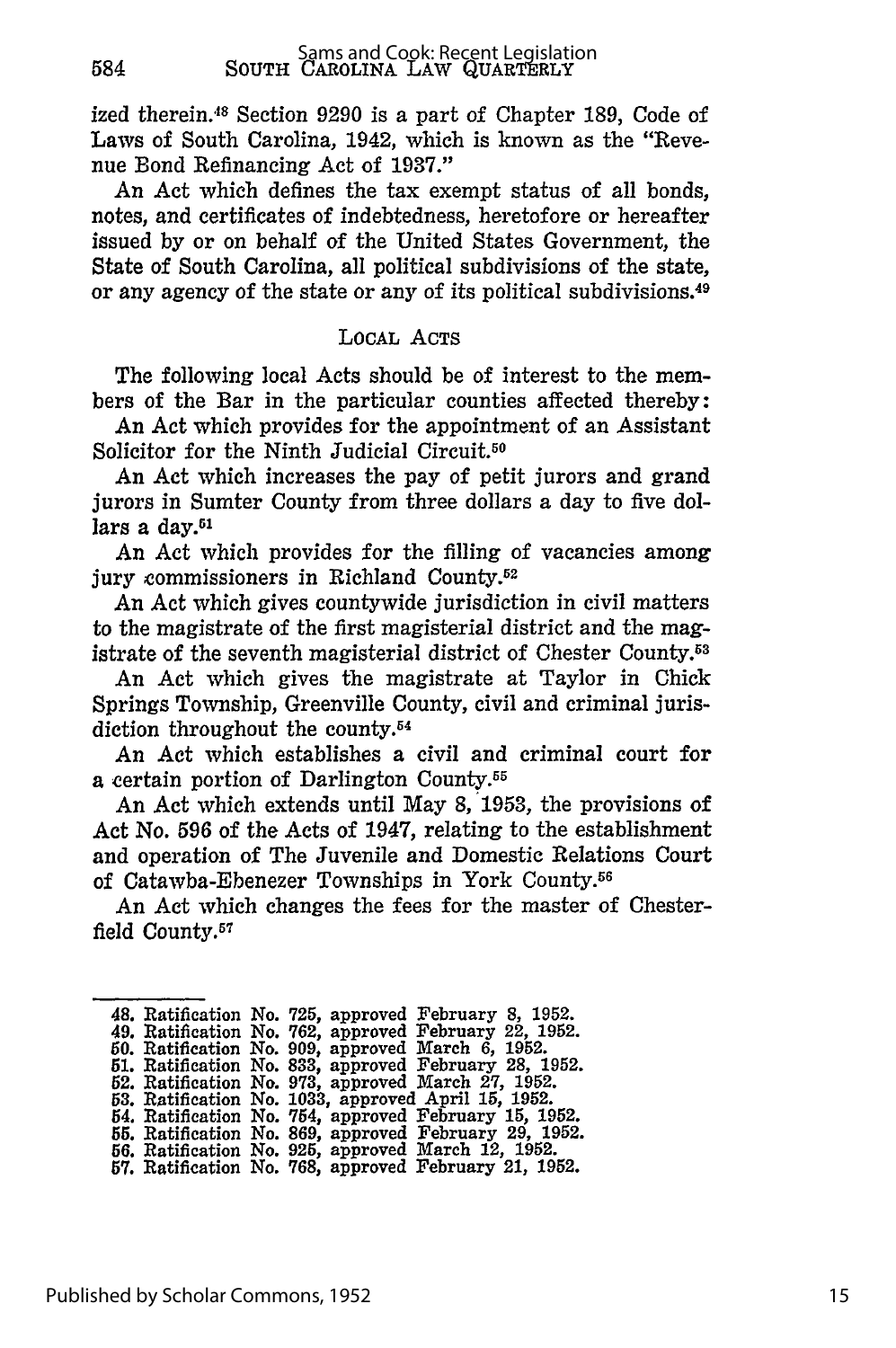ized therein.<sup>48</sup> Section 9290 is a part of Chapter 189, Code of Laws of South Carolina, 1942, which is known as the "Revenue Bond Refinancing Act of 1937."

An Act which defines the tax exempt status of all bonds, notes, and certificates of indebtedness, heretofore or hereafter issued by or on behalf of the United States Government, the State of South Carolina, all political subdivisions of the state, or any agency of the state or any of its political subdivisions. <sup>49</sup>

#### LOCAL **ACTS**

The following local Acts should be of interest to the members of the Bar in the particular counties affected thereby:

An Act which provides for the appointment of an Assistant Solicitor for the Ninth Judicial Circuit.<sup>50</sup>

An Act which increases the pay of petit jurors and grand jurors in Sumter County from three dollars a day to five dollars a day.<sup>51</sup>

An Act which provides for the filling of vacancies among jury commissioners in Richland County.<sup>52</sup>

An Act which gives countywide jurisdiction in civil matters to the magistrate of the first magisterial district and the magistrate of the seventh magisterial district of Chester County.<sup>53</sup>

An Act which gives the magistrate at Taylor in Chick Springs Township, Greenville County, civil and criminal jurisdiction throughout the county. $54$ 

An Act which establishes a civil and criminal court for a certain portion of Darlington County.55

An Act which extends until May 8, 1953, the provisions of Act No. 596 of the Acts of 1947, relating to the establishment and operation of The Juvenile and Domestic Relations Court of Catawba-Ebenezer Townships in York County.<sup>56</sup>

An Act which changes the fees for the master of Chesterfield County.<sup>57</sup>

|  | 48. Ratification No. 725, approved February 8, 1952.  |
|--|-------------------------------------------------------|
|  | 49. Ratification No. 762, approved February 22, 1952. |
|  | 50. Ratification No. 909, approved March 6, 1952.     |
|  | 51. Ratification No. 833, approved February 28, 1952. |
|  | 52. Ratification No. 973, approved March 27, 1952.    |
|  | 53. Ratification No. 1033, approved April 15, 1952.   |
|  | 54. Ratification No. 754, approved February 15, 1952. |
|  | 55. Ratification No. 869, approved February 29, 1952. |
|  | 56. Ratification No. 925, approved March 12, 1952.    |
|  | 57. Ratification No. 768, approved February 21, 1952. |

584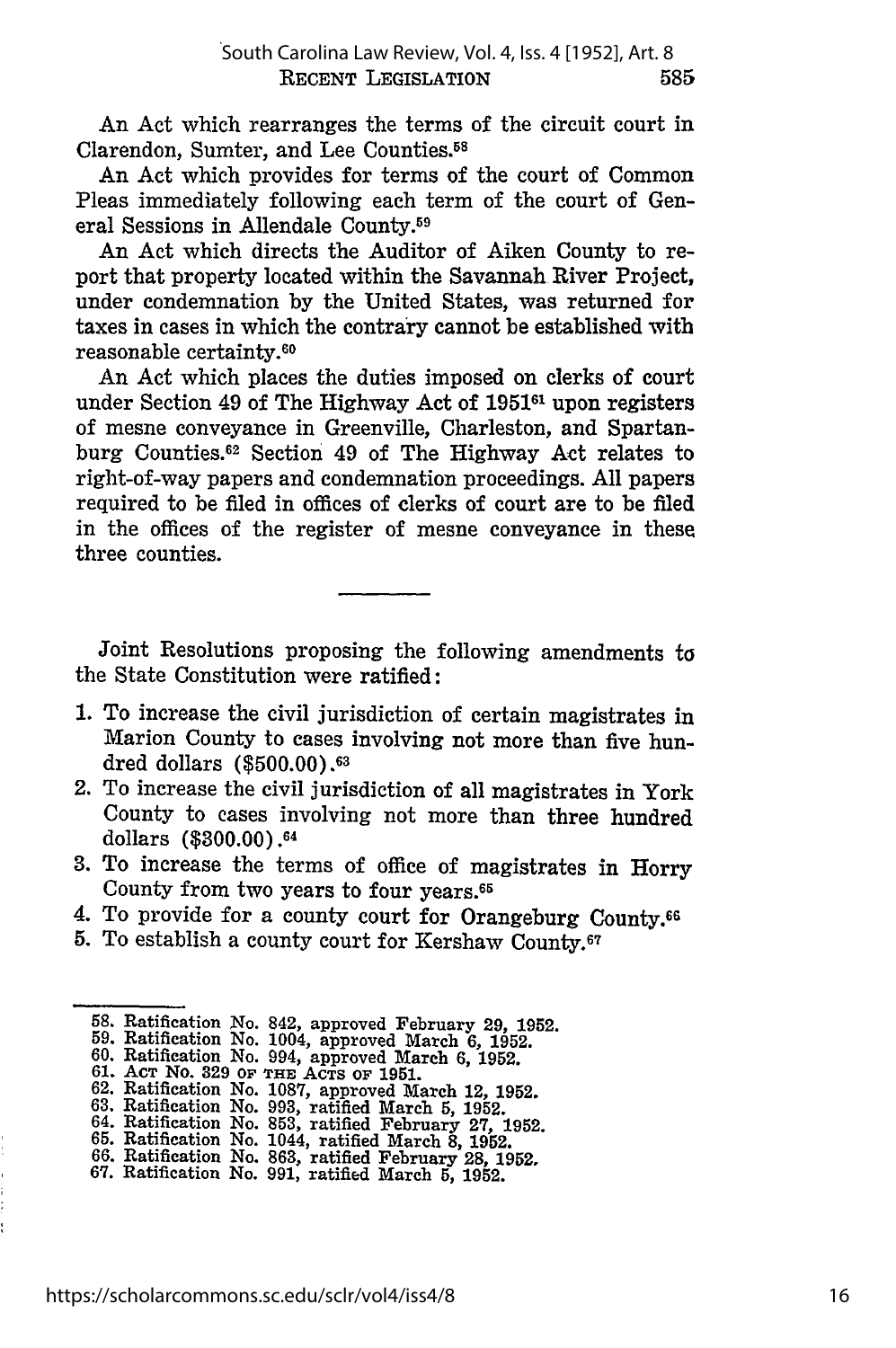An Act which rearranges the terms of the circuit court in Clarendon, Sumter, and Lee Counties.58

An Act which provides for terms of the court of Common Pleas immediately following each term of the court of General Sessions in Allendale County.<sup>59</sup>

An Act which directs the Auditor of Aiken County to report that property located within the Savannah River Project, under condemnation by the United States, was returned for taxes in cases in which the contrary cannot be established with reasonable certainty. 6o

An Act which places the duties imposed on clerks of court under Section 49 of The Highway Act of **195161** upon registers of mesne conveyance in Greenville, Charleston, and Spartanburg Counties. 62 Section 49 of The Highway Act relates to right-of-way papers and condemnation proceedings. All papers required to be filed in offices of clerks of court are to be filed in the offices of the register of mesne conveyance in these three counties.

Joint Resolutions proposing the following amendments to the State Constitution were ratified:

- 1. To increase the civil jurisdiction of certain magistrates in Marion County to cases involving not more than five hundred dollars (\$500.00).63
- 2. To increase the civil jurisdiction of all magistrates in York County to cases involving not more than three hundred dollars (\$300.00).<sup>64</sup>
- 3. To increase the terms of office of magistrates in Horry County from two years to four years. <sup>65</sup>
- 4. To provide for a county court for Orangeburg County.66
- **5.** To establish a county court for Kershaw County.67

<sup>58.</sup> Ratification No. 842, approved February *29,* **1952.**

<sup>59.</sup> Ratification No. 1004, approved March 6, 1952. 60. Ratification No. 994, approved March 6, 1952.

**<sup>61.</sup> ACT** NO. **329 OF THE ACTS OF 1951. 62.** Ratification No. **1087,** approved March 12, **1952.**

**<sup>63.</sup>** Ratification No. **993,** ratified March **5, 1952.**

<sup>64.</sup> Ratification No. **853,** ratified February **27, 1952. 65.** Ratification No. 1044, ratified March **8, 1952.**

**<sup>66.</sup>** Ratification No. **863,** ratified February 28, **1952.**

**<sup>67.</sup>** Ratification No. **991,** ratified March **5, 1952.**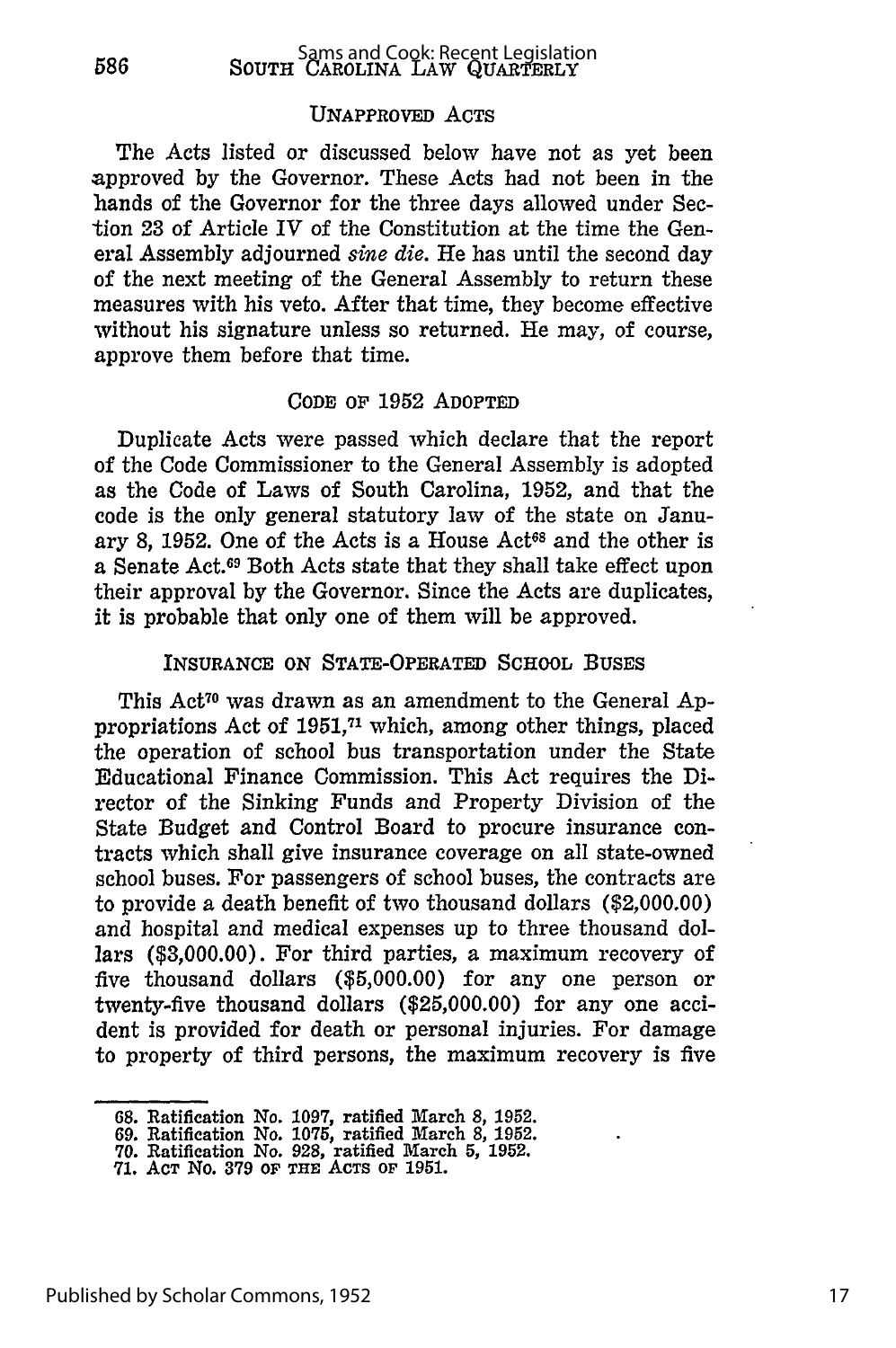#### UNAPPROVED ACTS

The Acts listed or discussed below have not as yet been approved by the Governor. These Acts had not been in the hands of the Governor for the three days allowed under Section 23 of Article IV of the Constitution at the time the General Assembly adjourned *sine die.* He has until the second day of the next meeting of the General Assembly to return these measures with his veto. After that time, they become effective without his signature unless so returned. He may, of course, approve them before that time.

#### CODE OF **1952 ADOPTED**

Duplicate Acts were passed which declare that the report of the Code Commissioner to the General Assembly is adopted as the Code of Laws of South Carolina, **1952,** and that the code is the only general statutory law of the state on January 8, 1952. One of the Acts is a House Act<sup>68</sup> and the other is a Senate Act.69 Both Acts state that they shall take effect upon their approval **by** the Governor. Since the Acts are duplicates, it is probable that only one of them will be approved.

#### **INSURANCE** ON STATE-OPERATED **SCHOOL** BUSES

This Act<sup>70</sup> was drawn as an amendment to the General Appropriations Act of 1951,<sup>71</sup> which, among other things, placed the operation of school bus transportation under the State Educational Finance Commission. This Act requires the **Di**rector of the Sinking Funds and Property Division of the State Budget and Control Board to procure insurance contracts which shall give insurance coverage on all state-owned school buses. For passengers of school buses, the contracts are to provide a death benefit of two thousand dollars (\$2,000.00) and hospital and medical expenses up to three thousand dollars **(\$3,000.00).** For third parties, a maximum recovery of five thousand dollars **(\$5,000.00)** for any one person or twenty-five thousand dollars **(\$25,000.00)** for any one accident is provided for death or personal injuries. For damage to property of third persons, the maximum recovery is five

**<sup>68.</sup> Ratification** No. **1097,** ratified March **8, 1952.**

**<sup>69.</sup> Ratification No. 1075, ratified March 8, 1952.**

**<sup>70.</sup> Ratification No. 928, ratified March 5, 1952.**

**<sup>71.</sup> ACT No. 379 OF THE ACTS OF 1951.**